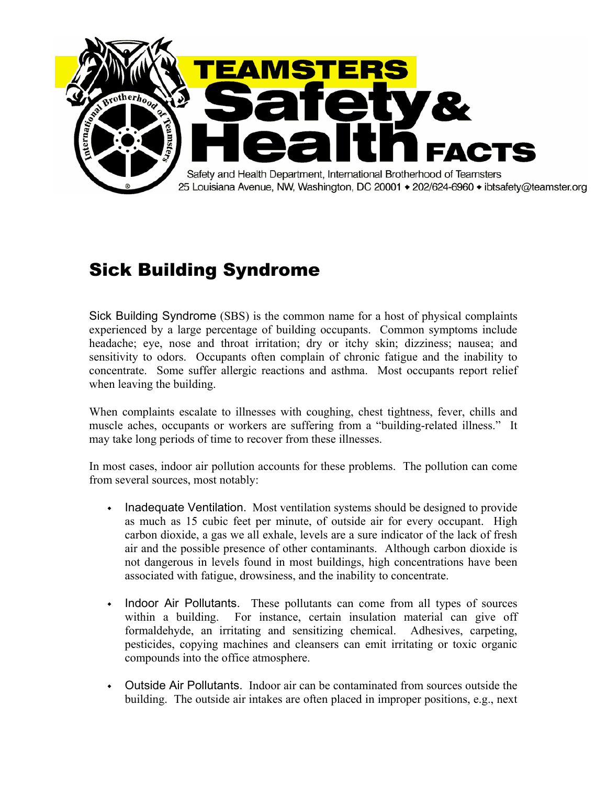

## Sick Building Syndrome

Sick Building Syndrome (SBS) is the common name for a host of physical complaints experienced by a large percentage of building occupants. Common symptoms include headache; eye, nose and throat irritation; dry or itchy skin; dizziness; nausea; and sensitivity to odors. Occupants often complain of chronic fatigue and the inability to concentrate. Some suffer allergic reactions and asthma. Most occupants report relief when leaving the building.

When complaints escalate to illnesses with coughing, chest tightness, fever, chills and muscle aches, occupants or workers are suffering from a "building-related illness." It may take long periods of time to recover from these illnesses.

In most cases, indoor air pollution accounts for these problems. The pollution can come from several sources, most notably:

- ◆ Inadequate Ventilation.Most ventilation systems should be designed to provide as much as 15 cubic feet per minute, of outside air for every occupant. High carbon dioxide, a gas we all exhale, levels are a sure indicator of the lack of fresh air and the possible presence of other contaminants. Although carbon dioxide is not dangerous in levels found in most buildings, high concentrations have been associated with fatigue, drowsiness, and the inability to concentrate.
- ◆ Indoor Air Pollutants.These pollutants can come from all types of sources within a building. For instance, certain insulation material can give off formaldehyde, an irritating and sensitizing chemical. Adhesives, carpeting, pesticides, copying machines and cleansers can emit irritating or toxic organic compounds into the office atmosphere.
- ◆ Outside Air Pollutants. Indoor air can be contaminated from sources outside the building. The outside air intakes are often placed in improper positions, e.g., next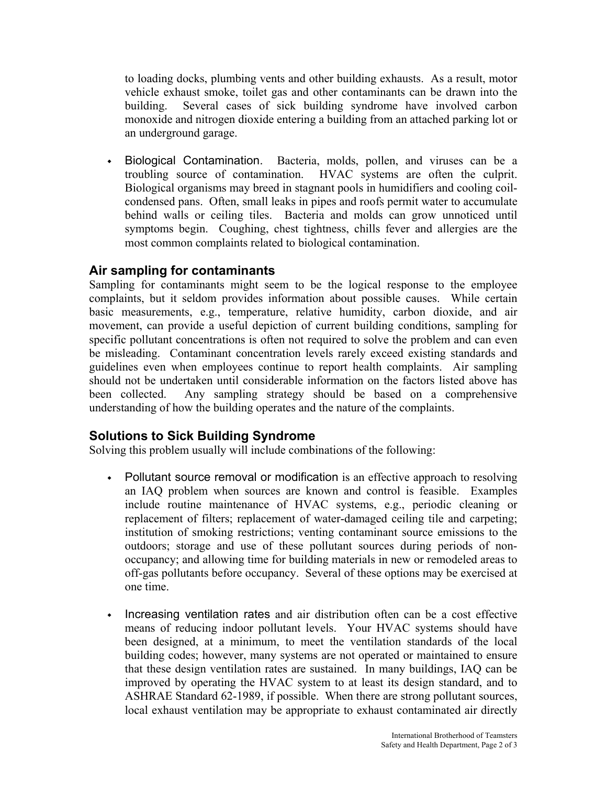to loading docks, plumbing vents and other building exhausts. As a result, motor vehicle exhaust smoke, toilet gas and other contaminants can be drawn into the building. Several cases of sick building syndrome have involved carbon monoxide and nitrogen dioxide entering a building from an attached parking lot or an underground garage.

• Biological Contamination. Bacteria, molds, pollen, and viruses can be a troubling source of contamination. HVAC systems are often the culprit. Biological organisms may breed in stagnant pools in humidifiers and cooling coilcondensed pans. Often, small leaks in pipes and roofs permit water to accumulate behind walls or ceiling tiles. Bacteria and molds can grow unnoticed until symptoms begin. Coughing, chest tightness, chills fever and allergies are the most common complaints related to biological contamination.

## **Air sampling for contaminants**

Sampling for contaminants might seem to be the logical response to the employee complaints, but it seldom provides information about possible causes. While certain basic measurements, e.g., temperature, relative humidity, carbon dioxide, and air movement, can provide a useful depiction of current building conditions, sampling for specific pollutant concentrations is often not required to solve the problem and can even be misleading. Contaminant concentration levels rarely exceed existing standards and guidelines even when employees continue to report health complaints. Air sampling should not be undertaken until considerable information on the factors listed above has been collected. Any sampling strategy should be based on a comprehensive understanding of how the building operates and the nature of the complaints.

## **Solutions to Sick Building Syndrome**

Solving this problem usually will include combinations of the following:

- Pollutant source removal or modification is an effective approach to resolving an IAQ problem when sources are known and control is feasible. Examples include routine maintenance of HVAC systems, e.g., periodic cleaning or replacement of filters; replacement of water-damaged ceiling tile and carpeting; institution of smoking restrictions; venting contaminant source emissions to the outdoors; storage and use of these pollutant sources during periods of nonoccupancy; and allowing time for building materials in new or remodeled areas to off-gas pollutants before occupancy. Several of these options may be exercised at one time.
- ◆ Increasing ventilation rates and air distribution often can be a cost effective means of reducing indoor pollutant levels. Your HVAC systems should have been designed, at a minimum, to meet the ventilation standards of the local building codes; however, many systems are not operated or maintained to ensure that these design ventilation rates are sustained. In many buildings, IAQ can be improved by operating the HVAC system to at least its design standard, and to ASHRAE Standard 62-1989, if possible. When there are strong pollutant sources, local exhaust ventilation may be appropriate to exhaust contaminated air directly